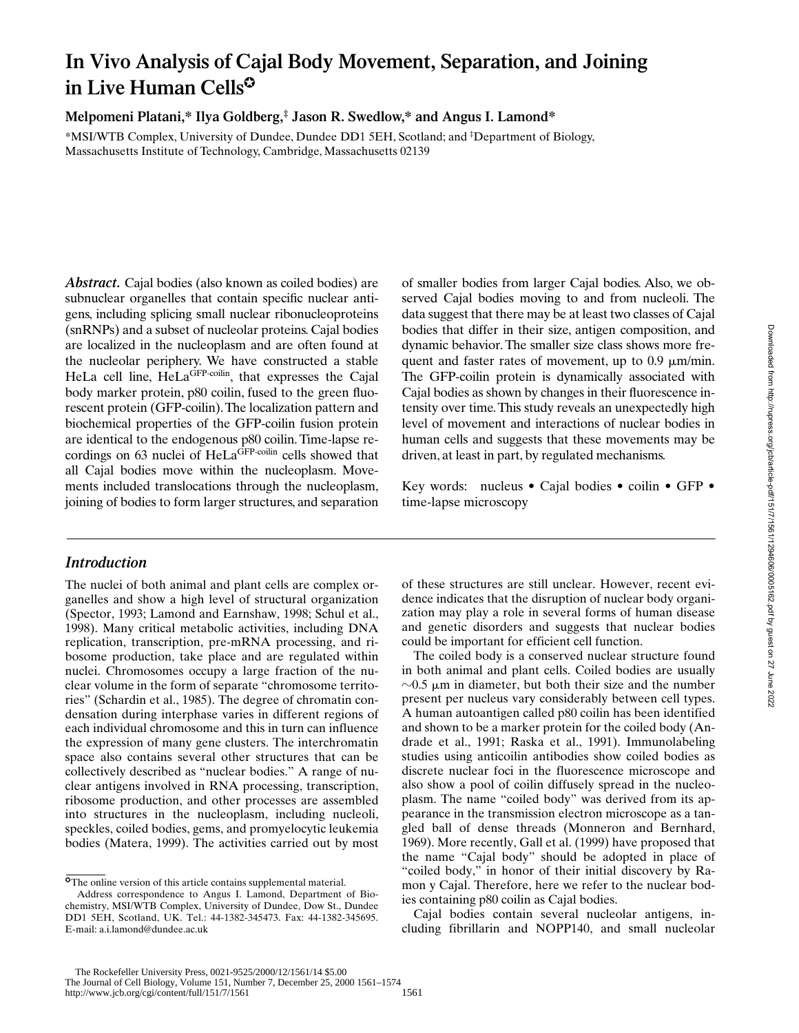# **In Vivo Analysis of Cajal Body Movement, Separation, and Joining in Live Human Cells**✪

**Melpomeni Platani,\* Ilya Goldberg,‡ Jason R. Swedlow,\* and Angus I. Lamond\***

\*MSI/WTB Complex, University of Dundee, Dundee DD1 5EH, Scotland; and ‡ Department of Biology, Massachusetts Institute of Technology, Cambridge, Massachusetts 02139

*Abstract.* Cajal bodies (also known as coiled bodies) are subnuclear organelles that contain specific nuclear antigens, including splicing small nuclear ribonucleoproteins (snRNPs) and a subset of nucleolar proteins. Cajal bodies are localized in the nucleoplasm and are often found at the nucleolar periphery. We have constructed a stable HeLa cell line, HeLa<sup>GFP-coilin</sup>, that expresses the Cajal body marker protein, p80 coilin, fused to the green fluorescent protein (GFP-coilin). The localization pattern and biochemical properties of the GFP-coilin fusion protein are identical to the endogenous p80 coilin. Time-lapse recordings on 63 nuclei of HeLa<sup>GFP-coilin</sup> cells showed that all Cajal bodies move within the nucleoplasm. Movements included translocations through the nucleoplasm, joining of bodies to form larger structures, and separation

## *Introduction*

The nuclei of both animal and plant cells are complex organelles and show a high level of structural organization (Spector, 1993; Lamond and Earnshaw, 1998; Schul et al., 1998). Many critical metabolic activities, including DNA replication, transcription, pre-mRNA processing, and ribosome production, take place and are regulated within nuclei. Chromosomes occupy a large fraction of the nuclear volume in the form of separate "chromosome territories" (Schardin et al., 1985). The degree of chromatin condensation during interphase varies in different regions of each individual chromosome and this in turn can influence the expression of many gene clusters. The interchromatin space also contains several other structures that can be collectively described as "nuclear bodies." A range of nuclear antigens involved in RNA processing, transcription, ribosome production, and other processes are assembled into structures in the nucleoplasm, including nucleoli, speckles, coiled bodies, gems, and promyelocytic leukemia bodies (Matera, 1999). The activities carried out by most of smaller bodies from larger Cajal bodies. Also, we observed Cajal bodies moving to and from nucleoli. The data suggest that there may be at least two classes of Cajal bodies that differ in their size, antigen composition, and dynamic behavior. The smaller size class shows more frequent and faster rates of movement, up to 0.9  $\mu$ m/min. The GFP-coilin protein is dynamically associated with Cajal bodies as shown by changes in their fluorescence intensity over time. This study reveals an unexpectedly high level of movement and interactions of nuclear bodies in human cells and suggests that these movements may be driven, at least in part, by regulated mechanisms.

Key words: nucleus • Cajal bodies • coilin • GFP • time-lapse microscopy

of these structures are still unclear. However, recent evidence indicates that the disruption of nuclear body organization may play a role in several forms of human disease and genetic disorders and suggests that nuclear bodies could be important for efficient cell function.

The coiled body is a conserved nuclear structure found in both animal and plant cells. Coiled bodies are usually  $\sim$ 0.5 µm in diameter, but both their size and the number present per nucleus vary considerably between cell types. A human autoantigen called p80 coilin has been identified and shown to be a marker protein for the coiled body (Andrade et al., 1991; Raska et al., 1991). Immunolabeling studies using anticoilin antibodies show coiled bodies as discrete nuclear foci in the fluorescence microscope and also show a pool of coilin diffusely spread in the nucleoplasm. The name "coiled body" was derived from its appearance in the transmission electron microscope as a tangled ball of dense threads (Monneron and Bernhard, 1969). More recently, Gall et al. (1999) have proposed that the name "Cajal body" should be adopted in place of "coiled body," in honor of their initial discovery by Ramon y Cajal. Therefore, here we refer to the nuclear bodies containing p80 coilin as Cajal bodies.

Cajal bodies contain several nucleolar antigens, including fibrillarin and NOPP140, and small nucleolar

<sup>✪</sup>The online version of this article contains supplemental material.

Address correspondence to Angus I. Lamond, Department of Biochemistry, MSI/WTB Complex, University of Dundee, Dow St., Dundee DD1 5EH, Scotland, UK. Tel.: 44-1382-345473. Fax: 44-1382-345695. E-mail: a.i.lamond@dundee.ac.uk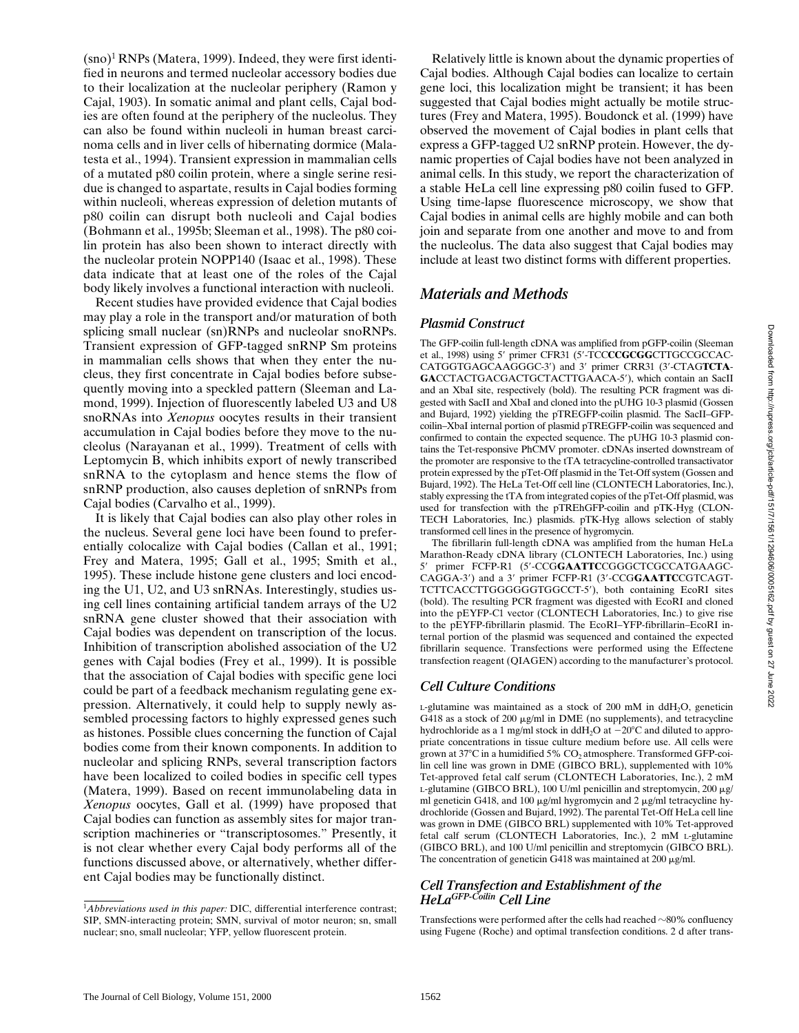$(sno)^1$  RNPs (Matera, 1999). Indeed, they were first identified in neurons and termed nucleolar accessory bodies due to their localization at the nucleolar periphery (Ramon y Cajal, 1903). In somatic animal and plant cells, Cajal bodies are often found at the periphery of the nucleolus. They can also be found within nucleoli in human breast carcinoma cells and in liver cells of hibernating dormice (Malatesta et al., 1994). Transient expression in mammalian cells of a mutated p80 coilin protein, where a single serine residue is changed to aspartate, results in Cajal bodies forming within nucleoli, whereas expression of deletion mutants of p80 coilin can disrupt both nucleoli and Cajal bodies (Bohmann et al., 1995b; Sleeman et al., 1998). The p80 coilin protein has also been shown to interact directly with the nucleolar protein NOPP140 (Isaac et al., 1998). These data indicate that at least one of the roles of the Cajal body likely involves a functional interaction with nucleoli.

Recent studies have provided evidence that Cajal bodies may play a role in the transport and/or maturation of both splicing small nuclear (sn)RNPs and nucleolar snoRNPs. Transient expression of GFP-tagged snRNP Sm proteins in mammalian cells shows that when they enter the nucleus, they first concentrate in Cajal bodies before subsequently moving into a speckled pattern (Sleeman and Lamond, 1999). Injection of fluorescently labeled U3 and U8 snoRNAs into *Xenopus* oocytes results in their transient accumulation in Cajal bodies before they move to the nucleolus (Narayanan et al., 1999). Treatment of cells with Leptomycin B, which inhibits export of newly transcribed snRNA to the cytoplasm and hence stems the flow of snRNP production, also causes depletion of snRNPs from Cajal bodies (Carvalho et al., 1999).

It is likely that Cajal bodies can also play other roles in the nucleus. Several gene loci have been found to preferentially colocalize with Cajal bodies (Callan et al., 1991; Frey and Matera, 1995; Gall et al., 1995; Smith et al., 1995). These include histone gene clusters and loci encoding the U1, U2, and U3 snRNAs. Interestingly, studies using cell lines containing artificial tandem arrays of the U2 snRNA gene cluster showed that their association with Cajal bodies was dependent on transcription of the locus. Inhibition of transcription abolished association of the U2 genes with Cajal bodies (Frey et al., 1999). It is possible that the association of Cajal bodies with specific gene loci could be part of a feedback mechanism regulating gene expression. Alternatively, it could help to supply newly assembled processing factors to highly expressed genes such as histones. Possible clues concerning the function of Cajal bodies come from their known components. In addition to nucleolar and splicing RNPs, several transcription factors have been localized to coiled bodies in specific cell types (Matera, 1999). Based on recent immunolabeling data in *Xenopus* oocytes, Gall et al. (1999) have proposed that Cajal bodies can function as assembly sites for major transcription machineries or "transcriptosomes." Presently, it is not clear whether every Cajal body performs all of the functions discussed above, or alternatively, whether different Cajal bodies may be functionally distinct.

Relatively little is known about the dynamic properties of Cajal bodies. Although Cajal bodies can localize to certain gene loci, this localization might be transient; it has been suggested that Cajal bodies might actually be motile structures (Frey and Matera, 1995). Boudonck et al. (1999) have observed the movement of Cajal bodies in plant cells that express a GFP-tagged U2 snRNP protein. However, the dynamic properties of Cajal bodies have not been analyzed in animal cells. In this study, we report the characterization of a stable HeLa cell line expressing p80 coilin fused to GFP. Using time-lapse fluorescence microscopy, we show that Cajal bodies in animal cells are highly mobile and can both join and separate from one another and move to and from the nucleolus. The data also suggest that Cajal bodies may include at least two distinct forms with different properties.

## *Materials and Methods*

### *Plasmid Construct*

The GFP-coilin full-length cDNA was amplified from pGFP-coilin (Sleeman et al., 1998) using 5' primer CFR31 (5'-TCCCCGCGGCTTGCCGCCAC-CATGGTGAGCAAGGGC-3') and 3' primer CRR31 (3'-CTAGTCTA-GACCTACTGACGACTGCTACTTGAACA-5'), which contain an SacII and an XbaI site, respectively (bold). The resulting PCR fragment was digested with SacII and XbaI and cloned into the pUHG 10-3 plasmid (Gossen and Bujard, 1992) yielding the pTREGFP-coilin plasmid. The SacII–GFPcoilin–XbaI internal portion of plasmid pTREGFP-coilin was sequenced and confirmed to contain the expected sequence. The pUHG 10-3 plasmid contains the Tet-responsive PhCMV promoter. cDNAs inserted downstream of the promoter are responsive to the tTA tetracycline-controlled transactivator protein expressed by the pTet-Off plasmid in the Tet-Off system (Gossen and Bujard, 1992). The HeLa Tet-Off cell line (CLONTECH Laboratories, Inc.), stably expressing the tTA from integrated copies of the pTet-Off plasmid, was used for transfection with the pTREhGFP-coilin and pTK-Hyg (CLON-TECH Laboratories, Inc.) plasmids. pTK-Hyg allows selection of stably transformed cell lines in the presence of hygromycin.

The fibrillarin full-length cDNA was amplified from the human HeLa Marathon-Ready cDNA library (CLONTECH Laboratories, Inc.) using 59 primer FCFP-R1 (59-CCG**GAATTC**CGGGCTCGCCATGAAGC-CAGGA-3') and a 3' primer FCFP-R1 (3'-CCGGAATTCCGTCAGT-TCTTCACCTTGGGGGGTGGCCT-5'), both containing EcoRI sites (bold). The resulting PCR fragment was digested with EcoRI and cloned into the pEYFP-C1 vector (CLONTECH Laboratories, Inc.) to give rise to the pEYFP-fibrillarin plasmid. The EcoRI–YFP-fibrillarin–EcoRI internal portion of the plasmid was sequenced and contained the expected fibrillarin sequence. Transfections were performed using the Effectene transfection reagent (QIAGEN) according to the manufacturer's protocol.

## *Cell Culture Conditions*

 $L$ -glutamine was maintained as a stock of 200 mM in ddH<sub>2</sub>O, geneticin G418 as a stock of 200  $\mu$ g/ml in DME (no supplements), and tetracycline hydrochloride as a 1 mg/ml stock in ddH<sub>2</sub>O at  $-20^{\circ}$ C and diluted to appropriate concentrations in tissue culture medium before use. All cells were grown at 37°C in a humidified 5% CO<sub>2</sub> atmosphere. Transformed GFP-coilin cell line was grown in DME (GIBCO BRL), supplemented with 10% Tet-approved fetal calf serum (CLONTECH Laboratories, Inc.), 2 mM L-glutamine (GIBCO BRL), 100 U/ml penicillin and streptomycin, 200  $\mu$ g/ ml geneticin G418, and 100  $\mu$ g/ml hygromycin and 2  $\mu$ g/ml tetracycline hydrochloride (Gossen and Bujard, 1992). The parental Tet-Off HeLa cell line was grown in DME (GIBCO BRL) supplemented with 10% Tet-approved fetal calf serum (CLONTECH Laboratories, Inc.), 2 mM L-glutamine (GIBCO BRL), and 100 U/ml penicillin and streptomycin (GIBCO BRL). The concentration of geneticin G418 was maintained at  $200 \mu g/ml$ .

### *Cell Transfection and Establishment of the HeLaGFP-Coilin Cell Line*

Transfections were performed after the cells had reached  $\sim$ 80% confluency using Fugene (Roche) and optimal transfection conditions. 2 d after trans-

<sup>&</sup>lt;sup>1</sup>Abbreviations used in this paper: DIC, differential interference contrast; SIP, SMN-interacting protein; SMN, survival of motor neuron; sn, small nuclear; sno, small nucleolar; YFP, yellow fluorescent protein.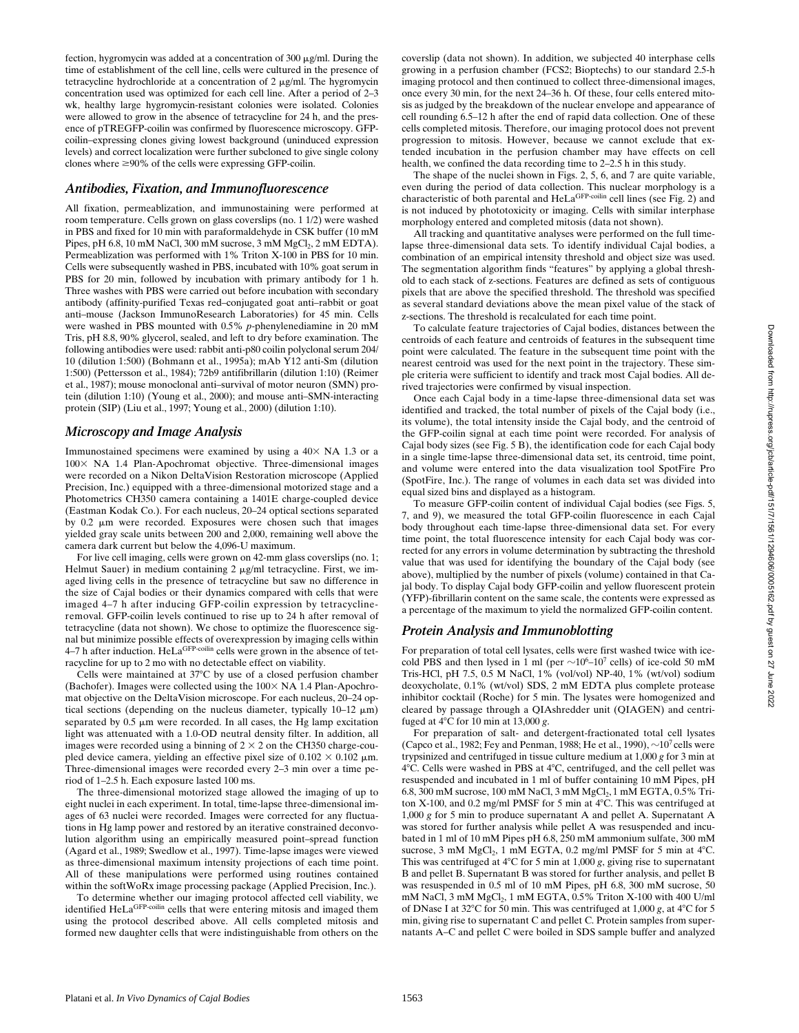fection, hygromycin was added at a concentration of 300  $\mu$ g/ml. During the time of establishment of the cell line, cells were cultured in the presence of tetracycline hydrochloride at a concentration of  $2 \mu g/ml$ . The hygromycin concentration used was optimized for each cell line. After a period of 2–3 wk, healthy large hygromycin-resistant colonies were isolated. Colonies were allowed to grow in the absence of tetracycline for 24 h, and the presence of pTREGFP-coilin was confirmed by fluorescence microscopy. GFPcoilin–expressing clones giving lowest background (uninduced expression levels) and correct localization were further subcloned to give single colony clones where  $\geq$ 90% of the cells were expressing GFP-coilin.

#### *Antibodies, Fixation, and Immunofluorescence*

All fixation, permeablization, and immunostaining were performed at room temperature. Cells grown on glass coverslips (no. 1 1/2) were washed in PBS and fixed for 10 min with paraformaldehyde in CSK buffer (10 mM Pipes, pH 6.8, 10 mM NaCl, 300 mM sucrose, 3 mM MgCl<sub>2</sub>, 2 mM EDTA). Permeablization was performed with 1% Triton X-100 in PBS for 10 min. Cells were subsequently washed in PBS, incubated with 10% goat serum in PBS for 20 min, followed by incubation with primary antibody for 1 h. Three washes with PBS were carried out before incubation with secondary antibody (affinity-purified Texas red–conjugated goat anti–rabbit or goat anti–mouse (Jackson ImmunoResearch Laboratories) for 45 min. Cells were washed in PBS mounted with 0.5% *p*-phenylenediamine in 20 mM Tris, pH 8.8, 90% glycerol, sealed, and left to dry before examination. The following antibodies were used: rabbit anti-p80 coilin polyclonal serum 204/ 10 (dilution 1:500) (Bohmann et al., 1995a); mAb Y12 anti-Sm (dilution 1:500) (Pettersson et al., 1984); 72b9 antifibrillarin (dilution 1:10) (Reimer et al., 1987); mouse monoclonal anti–survival of motor neuron (SMN) protein (dilution 1:10) (Young et al., 2000); and mouse anti–SMN-interacting protein (SIP) (Liu et al., 1997; Young et al., 2000) (dilution 1:10).

#### *Microscopy and Image Analysis*

Immunostained specimens were examined by using a  $40\times$  NA 1.3 or a 1003 NA 1.4 Plan-Apochromat objective. Three-dimensional images were recorded on a Nikon DeltaVision Restoration microscope (Applied Precision, Inc.) equipped with a three-dimensional motorized stage and a Photometrics CH350 camera containing a 1401E charge-coupled device (Eastman Kodak Co.). For each nucleus, 20–24 optical sections separated by 0.2  $\mu$ m were recorded. Exposures were chosen such that images yielded gray scale units between 200 and 2,000, remaining well above the camera dark current but below the 4,096-U maximum.

For live cell imaging, cells were grown on 42-mm glass coverslips (no. 1; Helmut Sauer) in medium containing  $2 \mu g/ml$  tetracycline. First, we imaged living cells in the presence of tetracycline but saw no difference in the size of Cajal bodies or their dynamics compared with cells that were imaged 4–7 h after inducing GFP-coilin expression by tetracyclineremoval. GFP-coilin levels continued to rise up to 24 h after removal of tetracycline (data not shown). We chose to optimize the fluorescence signal but minimize possible effects of overexpression by imaging cells within 4–7 h after induction. HeLa<sup>GFP-coilin</sup> cells were grown in the absence of tetracycline for up to 2 mo with no detectable effect on viability.

Cells were maintained at  $37^{\circ}$ C by use of a closed perfusion chamber (Bachofer). Images were collected using the  $100 \times$  NA 1.4 Plan-Apochromat objective on the DeltaVision microscope. For each nucleus, 20–24 optical sections (depending on the nucleus diameter, typically  $10-12 \mu m$ ) separated by  $0.5 \mu m$  were recorded. In all cases, the Hg lamp excitation light was attenuated with a 1.0-OD neutral density filter. In addition, all images were recorded using a binning of  $2 \times 2$  on the CH350 charge-coupled device camera, yielding an effective pixel size of  $0.102 \times 0.102 \mu m$ . Three-dimensional images were recorded every 2–3 min over a time period of 1–2.5 h. Each exposure lasted 100 ms.

The three-dimensional motorized stage allowed the imaging of up to eight nuclei in each experiment. In total, time-lapse three-dimensional images of 63 nuclei were recorded. Images were corrected for any fluctuations in Hg lamp power and restored by an iterative constrained deconvolution algorithm using an empirically measured point–spread function (Agard et al., 1989; Swedlow et al., 1997). Time-lapse images were viewed as three-dimensional maximum intensity projections of each time point. All of these manipulations were performed using routines contained within the softWoRx image processing package (Applied Precision, Inc.).

To determine whether our imaging protocol affected cell viability, we identified HeLa<sup>GFP-coilin</sup> cells that were entering mitosis and imaged them using the protocol described above. All cells completed mitosis and formed new daughter cells that were indistinguishable from others on the

coverslip (data not shown). In addition, we subjected 40 interphase cells growing in a perfusion chamber (FCS2; Bioptechs) to our standard 2.5-h imaging protocol and then continued to collect three-dimensional images, once every 30 min, for the next 24–36 h. Of these, four cells entered mitosis as judged by the breakdown of the nuclear envelope and appearance of cell rounding 6.5–12 h after the end of rapid data collection. One of these cells completed mitosis. Therefore, our imaging protocol does not prevent progression to mitosis. However, because we cannot exclude that extended incubation in the perfusion chamber may have effects on cell health, we confined the data recording time to 2–2.5 h in this study.

The shape of the nuclei shown in Figs. 2, 5, 6, and 7 are quite variable, even during the period of data collection. This nuclear morphology is a characteristic of both parental and HeLa<sup>GFP-coilin</sup> cell lines (see Fig. 2) and is not induced by phototoxicity or imaging. Cells with similar interphase morphology entered and completed mitosis (data not shown).

All tracking and quantitative analyses were performed on the full timelapse three-dimensional data sets. To identify individual Cajal bodies, a combination of an empirical intensity threshold and object size was used. The segmentation algorithm finds "features" by applying a global threshold to each stack of z-sections. Features are defined as sets of contiguous pixels that are above the specified threshold. The threshold was specified as several standard deviations above the mean pixel value of the stack of z-sections. The threshold is recalculated for each time point.

To calculate feature trajectories of Cajal bodies, distances between the centroids of each feature and centroids of features in the subsequent time point were calculated. The feature in the subsequent time point with the nearest centroid was used for the next point in the trajectory. These simple criteria were sufficient to identify and track most Cajal bodies. All derived trajectories were confirmed by visual inspection.

Once each Cajal body in a time-lapse three-dimensional data set was identified and tracked, the total number of pixels of the Cajal body (i.e., its volume), the total intensity inside the Cajal body, and the centroid of the GFP-coilin signal at each time point were recorded. For analysis of Cajal body sizes (see Fig. 5 B), the identification code for each Cajal body in a single time-lapse three-dimensional data set, its centroid, time point, and volume were entered into the data visualization tool SpotFire Pro (SpotFire, Inc.). The range of volumes in each data set was divided into equal sized bins and displayed as a histogram.

To measure GFP-coilin content of individual Cajal bodies (see Figs. 5, 7, and 9), we measured the total GFP-coilin fluorescence in each Cajal body throughout each time-lapse three-dimensional data set. For every time point, the total fluorescence intensity for each Cajal body was corrected for any errors in volume determination by subtracting the threshold value that was used for identifying the boundary of the Cajal body (see above), multiplied by the number of pixels (volume) contained in that Cajal body. To display Cajal body GFP-coilin and yellow fluorescent protein (YFP)-fibrillarin content on the same scale, the contents were expressed as a percentage of the maximum to yield the normalized GFP-coilin content.

#### *Protein Analysis and Immunoblotting*

For preparation of total cell lysates, cells were first washed twice with icecold PBS and then lysed in 1 ml (per  $\sim 10^6$ – $10^7$  cells) of ice-cold 50 mM Tris-HCl, pH 7.5, 0.5 M NaCl, 1% (vol/vol) NP-40, 1% (wt/vol) sodium deoxycholate, 0.1% (wt/vol) SDS, 2 mM EDTA plus complete protease inhibitor cocktail (Roche) for 5 min. The lysates were homogenized and cleared by passage through a QIAshredder unit (QIAGEN) and centrifuged at 48C for 10 min at 13,000 *g*.

For preparation of salt- and detergent-fractionated total cell lysates (Capco et al., 1982; Fey and Penman, 1988; He et al., 1990),  $\sim$ 10<sup>7</sup> cells were trypsinized and centrifuged in tissue culture medium at 1,000 *g* for 3 min at 4°C. Cells were washed in PBS at 4°C, centrifuged, and the cell pellet was resuspended and incubated in 1 ml of buffer containing 10 mM Pipes, pH 6.8, 300 mM sucrose, 100 mM NaCl, 3 mM  $MgCl<sub>2</sub>$ , 1 mM EGTA, 0.5% Triton X-100, and 0.2 mg/ml PMSF for 5 min at  $4^{\circ}$ C. This was centrifuged at 1,000 *g* for 5 min to produce supernatant A and pellet A. Supernatant A was stored for further analysis while pellet A was resuspended and incubated in 1 ml of 10 mM Pipes pH 6.8, 250 mM ammonium sulfate, 300 mM sucrose, 3 mM  $MgCl<sub>2</sub>$ , 1 mM EGTA, 0.2 mg/ml PMSF for 5 min at 4°C. This was centrifuged at  $4^{\circ}$ C for 5 min at 1,000 g, giving rise to supernatant B and pellet B. Supernatant B was stored for further analysis, and pellet B was resuspended in 0.5 ml of 10 mM Pipes, pH 6.8, 300 mM sucrose, 50 mM NaCl, 3 mM MgCl<sub>2</sub>, 1 mM EGTA, 0.5% Triton X-100 with 400 U/ml of DNase I at  $32^{\circ}$ C for 50 min. This was centrifuged at  $1,000$  g, at  $4^{\circ}$ C for 5 min, giving rise to supernatant C and pellet C. Protein samples from supernatants A–C and pellet C were boiled in SDS sample buffer and analyzed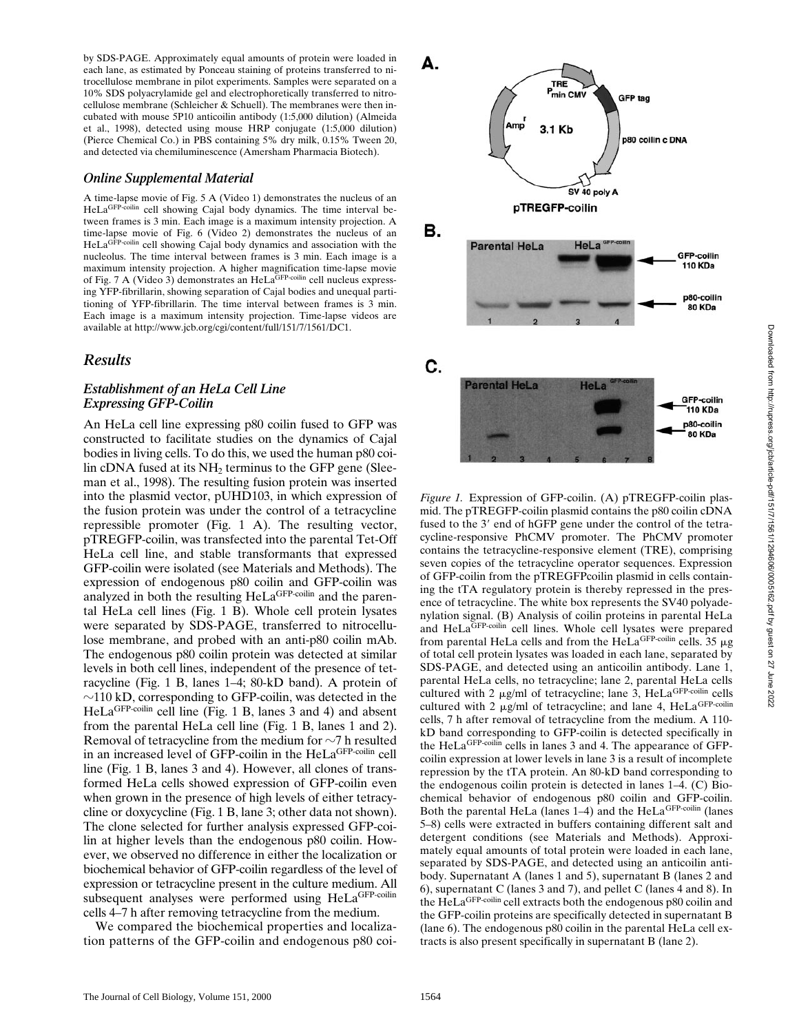by SDS-PAGE. Approximately equal amounts of protein were loaded in each lane, as estimated by Ponceau staining of proteins transferred to nitrocellulose membrane in pilot experiments. Samples were separated on a 10% SDS polyacrylamide gel and electrophoretically transferred to nitrocellulose membrane (Schleicher & Schuell). The membranes were then incubated with mouse 5P10 anticoilin antibody (1:5,000 dilution) (Almeida et al., 1998), detected using mouse HRP conjugate (1:5,000 dilution) (Pierce Chemical Co.) in PBS containing 5% dry milk, 0.15% Tween 20, and detected via chemiluminescence (Amersham Pharmacia Biotech).

#### *Online Supplemental Material*

A time-lapse movie of Fig. 5 A (Video 1) demonstrates the nucleus of an HeLa<sup>GFP-coilin</sup> cell showing Cajal body dynamics. The time interval between frames is 3 min. Each image is a maximum intensity projection. A time-lapse movie of Fig. 6 (Video 2) demonstrates the nucleus of an HeLa<sup>GFP-coilin</sup> cell showing Cajal body dynamics and association with the nucleolus. The time interval between frames is 3 min. Each image is a maximum intensity projection. A higher magnification time-lapse movie of Fig. 7 A (Video 3) demonstrates an HeLa<sup>GFP-coilin</sup> cell nucleus expressing YFP-fibrillarin, showing separation of Cajal bodies and unequal partitioning of YFP-fibrillarin. The time interval between frames is 3 min. Each image is a maximum intensity projection. Time-lapse videos are available at http://www.jcb.org/cgi/content/full/151/7/1561/DC1.

## *Results*

#### *Establishment of an HeLa Cell Line Expressing GFP-Coilin*

An HeLa cell line expressing p80 coilin fused to GFP was constructed to facilitate studies on the dynamics of Cajal bodies in living cells. To do this, we used the human p80 coilin cDNA fused at its  $NH<sub>2</sub>$  terminus to the GFP gene (Sleeman et al., 1998). The resulting fusion protein was inserted into the plasmid vector, pUHD103, in which expression of the fusion protein was under the control of a tetracycline repressible promoter (Fig. 1 A). The resulting vector, pTREGFP-coilin, was transfected into the parental Tet-Off HeLa cell line, and stable transformants that expressed GFP-coilin were isolated (see Materials and Methods). The expression of endogenous p80 coilin and GFP-coilin was analyzed in both the resulting HeLa<sup>GFP-coilin</sup> and the parental HeLa cell lines (Fig.  $1 \overline{B}$ ). Whole cell protein lysates were separated by SDS-PAGE, transferred to nitrocellulose membrane, and probed with an anti-p80 coilin mAb. The endogenous p80 coilin protein was detected at similar levels in both cell lines, independent of the presence of tetracycline (Fig. 1 B, lanes 1–4; 80-kD band). A protein of  $\sim$ 110 kD, corresponding to GFP-coilin, was detected in the HeLa<sup>GFP-coilin</sup> cell line (Fig. 1 B, lanes 3 and 4) and absent from the parental HeLa cell line (Fig. 1 B, lanes 1 and 2). Removal of tetracycline from the medium for  $\sim$ 7 h resulted in an increased level of GFP-coilin in the HeLaGFP-coilin cell line (Fig. 1 B, lanes 3 and 4). However, all clones of transformed HeLa cells showed expression of GFP-coilin even when grown in the presence of high levels of either tetracycline or doxycycline (Fig. 1 B, lane 3; other data not shown). The clone selected for further analysis expressed GFP-coilin at higher levels than the endogenous p80 coilin. However, we observed no difference in either the localization or biochemical behavior of GFP-coilin regardless of the level of expression or tetracycline present in the culture medium. All subsequent analyses were performed using HeLaGFP-coilin cells 4–7 h after removing tetracycline from the medium.

We compared the biochemical properties and localization patterns of the GFP-coilin and endogenous p80 coi-



*Figure 1.* Expression of GFP-coilin. (A) pTREGFP-coilin plasmid. The pTREGFP-coilin plasmid contains the p80 coilin cDNA fused to the 3' end of hGFP gene under the control of the tetracycline-responsive PhCMV promoter. The PhCMV promoter contains the tetracycline-responsive element (TRE), comprising seven copies of the tetracycline operator sequences. Expression of GFP-coilin from the pTREGFPcoilin plasmid in cells containing the tTA regulatory protein is thereby repressed in the presence of tetracycline. The white box represents the SV40 polyadenylation signal. (B) Analysis of coilin proteins in parental HeLa and HeLa<sup>GFP-coilin</sup> cell lines. Whole cell lysates were prepared from parental HeLa cells and from the HeLa<sup>GFP-coilin</sup> cells.  $35 \mu$ g of total cell protein lysates was loaded in each lane, separated by SDS-PAGE, and detected using an anticoilin antibody. Lane 1, parental HeLa cells, no tetracycline; lane 2, parental HeLa cells cultured with 2  $\mu$ g/ml of tetracycline; lane 3, HeLa<sup>GFP-coilin</sup> cells cultured with 2 µg/ml of tetracycline; and lane 4, HeLaGFP-coilin cells, 7 h after removal of tetracycline from the medium. A 110 kD band corresponding to GFP-coilin is detected specifically in the HeLaGFP-coilin cells in lanes 3 and 4. The appearance of GFPcoilin expression at lower levels in lane 3 is a result of incomplete repression by the tTA protein. An 80-kD band corresponding to the endogenous coilin protein is detected in lanes 1–4. (C) Biochemical behavior of endogenous p80 coilin and GFP-coilin. Both the parental HeLa (lanes 1-4) and the HeLa<sup>GFP-coilin</sup> (lanes 5–8) cells were extracted in buffers containing different salt and detergent conditions (see Materials and Methods). Approximately equal amounts of total protein were loaded in each lane, separated by SDS-PAGE, and detected using an anticoilin antibody. Supernatant A (lanes 1 and 5), supernatant B (lanes 2 and 6), supernatant C (lanes 3 and 7), and pellet C (lanes 4 and 8). In the HeLaGFP-coilin cell extracts both the endogenous p80 coilin and the GFP-coilin proteins are specifically detected in supernatant B (lane 6). The endogenous p80 coilin in the parental HeLa cell extracts is also present specifically in supernatant B (lane 2).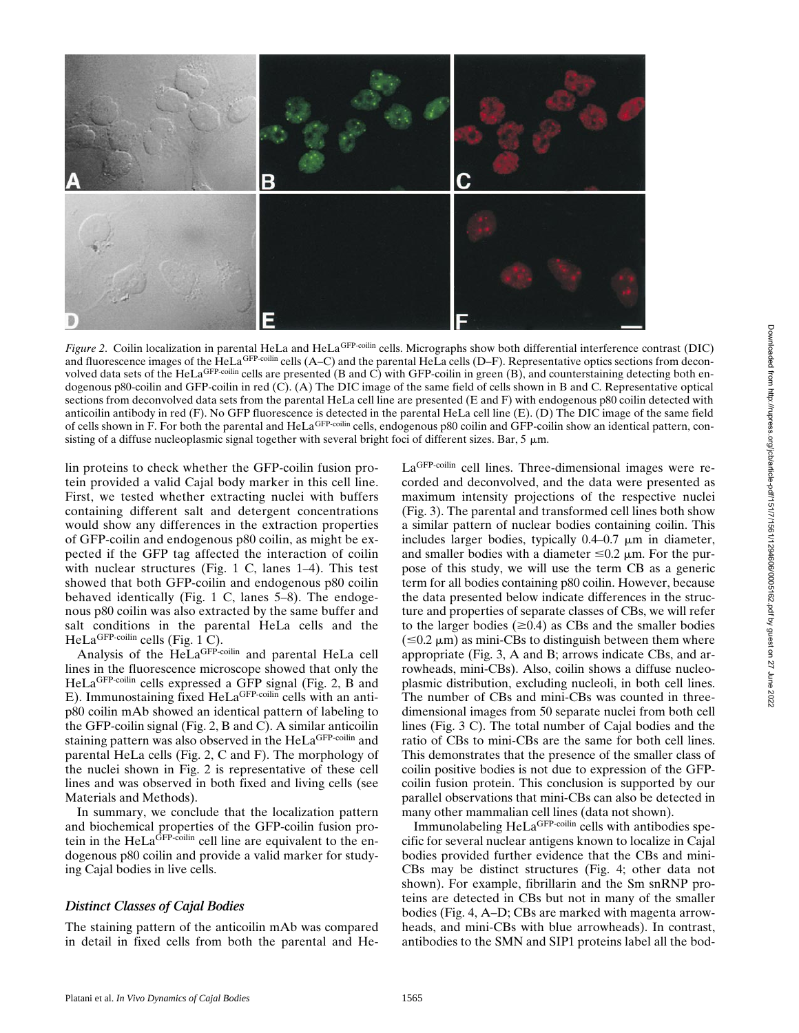

*Figure 2.* Coilin localization in parental HeLa and HeLa<sup>GFP-coilin</sup> cells. Micrographs show both differential interference contrast (DIC) and fluorescence images of the HeLa<sup>GFP-coilin</sup> cells (A–C) and the parental HeLa cells (D–F). Representative optics sections from deconvolved data sets of the HeLa<sup>GFP-coilin</sup> cells are presented (B and C) with GFP-coilin in green (B), and counterstaining detecting both endogenous p80-coilin and GFP-coilin in red (C). (A) The DIC image of the same field of cells shown in B and C. Representative optical sections from deconvolved data sets from the parental HeLa cell line are presented (E and F) with endogenous p80 coilin detected with anticoilin antibody in red (F). No GFP fluorescence is detected in the parental HeLa cell line (E). (D) The DIC image of the same field of cells shown in F. For both the parental and HeLa<sup>GFP-coilin</sup> cells, endogenous p80 coilin and GFP-coilin show an identical pattern, consisting of a diffuse nucleoplasmic signal together with several bright foci of different sizes. Bar,  $5 \mu m$ .

lin proteins to check whether the GFP-coilin fusion protein provided a valid Cajal body marker in this cell line. First, we tested whether extracting nuclei with buffers containing different salt and detergent concentrations would show any differences in the extraction properties of GFP-coilin and endogenous p80 coilin, as might be expected if the GFP tag affected the interaction of coilin with nuclear structures (Fig. 1 C, lanes 1–4). This test showed that both GFP-coilin and endogenous p80 coilin behaved identically (Fig. 1 C, lanes 5–8). The endogenous p80 coilin was also extracted by the same buffer and salt conditions in the parental HeLa cells and the HeLa<sup>GFP-coilin</sup> cells (Fig.  $1 \text{ C}$ ).

Analysis of the  $HELa<sup>GFP</sup>-coilin$  and parental HeLa cell lines in the fluorescence microscope showed that only the HeLaGFP-coilin cells expressed a GFP signal (Fig. 2, B and E). Immunostaining fixed HeLaGFP-coilin cells with an antip80 coilin mAb showed an identical pattern of labeling to the GFP-coilin signal (Fig. 2, B and C). A similar anticoilin staining pattern was also observed in the HeLa<sup>GFP-coilin</sup> and parental HeLa cells (Fig. 2, C and F). The morphology of the nuclei shown in Fig. 2 is representative of these cell lines and was observed in both fixed and living cells (see Materials and Methods).

In summary, we conclude that the localization pattern and biochemical properties of the GFP-coilin fusion protein in the HeLa<sup>GFP-coilin</sup> cell line are equivalent to the endogenous p80 coilin and provide a valid marker for studying Cajal bodies in live cells.

## *Distinct Classes of Cajal Bodies*

The staining pattern of the anticoilin mAb was compared in detail in fixed cells from both the parental and HeLaGFP-coilin cell lines. Three-dimensional images were recorded and deconvolved, and the data were presented as maximum intensity projections of the respective nuclei (Fig. 3). The parental and transformed cell lines both show a similar pattern of nuclear bodies containing coilin. This includes larger bodies, typically  $0.4-0.7 \mu m$  in diameter, and smaller bodies with a diameter  $\leq 0.2$  µm. For the purpose of this study, we will use the term CB as a generic term for all bodies containing p80 coilin. However, because the data presented below indicate differences in the structure and properties of separate classes of CBs, we will refer to the larger bodies ( $\geq 0.4$ ) as CBs and the smaller bodies  $(\leq 0.2 \mu m)$  as mini-CBs to distinguish between them where appropriate (Fig. 3, A and B; arrows indicate CBs, and arrowheads, mini-CBs). Also, coilin shows a diffuse nucleoplasmic distribution, excluding nucleoli, in both cell lines. The number of CBs and mini-CBs was counted in threedimensional images from 50 separate nuclei from both cell lines (Fig. 3 C). The total number of Cajal bodies and the ratio of CBs to mini-CBs are the same for both cell lines. This demonstrates that the presence of the smaller class of coilin positive bodies is not due to expression of the GFPcoilin fusion protein. This conclusion is supported by our parallel observations that mini-CBs can also be detected in many other mammalian cell lines (data not shown).

Immunolabeling HeLa<sup>GFP-coilin</sup> cells with antibodies specific for several nuclear antigens known to localize in Cajal bodies provided further evidence that the CBs and mini-CBs may be distinct structures (Fig. 4; other data not shown). For example, fibrillarin and the Sm snRNP proteins are detected in CBs but not in many of the smaller bodies (Fig. 4, A–D; CBs are marked with magenta arrowheads, and mini-CBs with blue arrowheads). In contrast, antibodies to the SMN and SIP1 proteins label all the bod-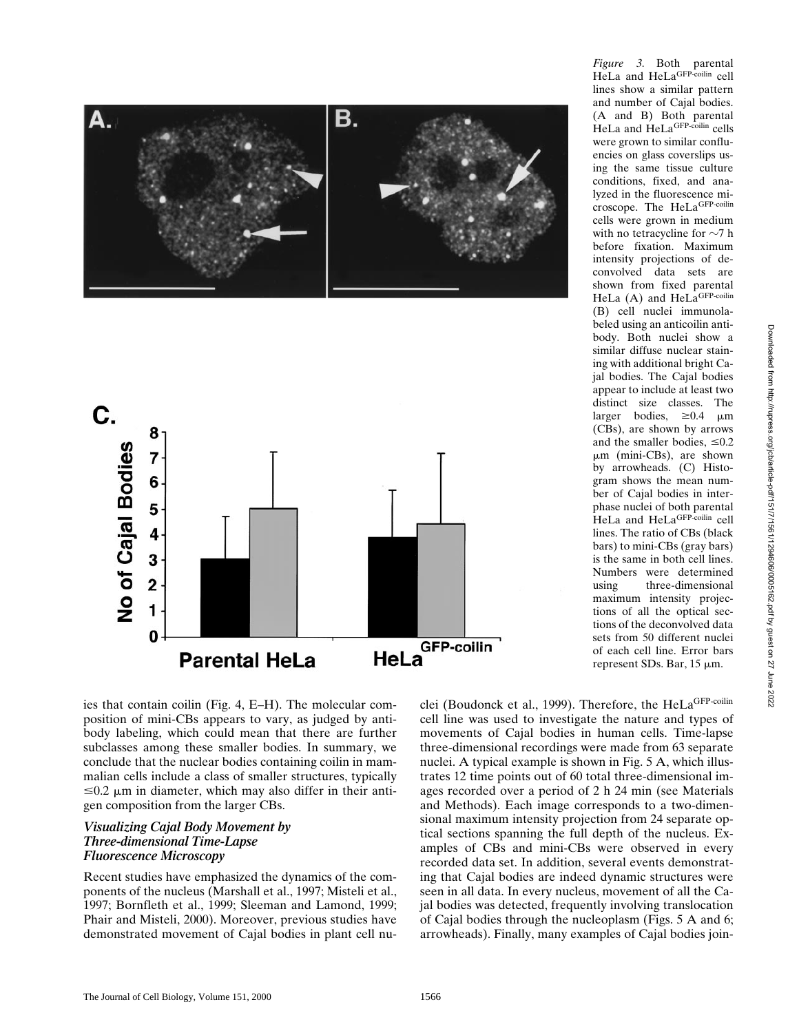

*Figure 3.* Both parental HeLa and HeLaGFP-coilin cell lines show a similar pattern and number of Cajal bodies. (A and B) Both parental HeLa and HeLaGFP-coilin cells were grown to similar confluencies on glass coverslips using the same tissue culture conditions, fixed, and analyzed in the fluorescence microscope. The HeLaGFP-coilin cells were grown in medium with no tetracycline for  $\sim$ 7 h before fixation. Maximum intensity projections of deconvolved data sets are shown from fixed parental HeLa (A) and HeLa<sup>GFP-coilin</sup> (B) cell nuclei immunolabeled using an anticoilin antibody. Both nuclei show a similar diffuse nuclear staining with additional bright Cajal bodies. The Cajal bodies appear to include at least two distinct size classes. The larger bodies,  $\geq 0.4$  µm (CBs), are shown by arrows and the smaller bodies,  $\leq 0.2$  $\mu$ m (mini-CBs), are shown by arrowheads. (C) Histogram shows the mean number of Cajal bodies in interphase nuclei of both parental HeLa and HeLaGFP-coilin cell lines. The ratio of CBs (black bars) to mini-CBs (gray bars) is the same in both cell lines. Numbers were determined using three-dimensional maximum intensity projections of all the optical sections of the deconvolved data sets from 50 different nuclei of each cell line. Error bars represent SDs. Bar,  $15 \mu m$ .

ies that contain coilin (Fig. 4, E–H). The molecular composition of mini-CBs appears to vary, as judged by antibody labeling, which could mean that there are further subclasses among these smaller bodies. In summary, we conclude that the nuclear bodies containing coilin in mammalian cells include a class of smaller structures, typically  $\leq 0.2$  µm in diameter, which may also differ in their antigen composition from the larger CBs.

#### *Visualizing Cajal Body Movement by Three-dimensional Time-Lapse Fluorescence Microscopy*

Recent studies have emphasized the dynamics of the components of the nucleus (Marshall et al., 1997; Misteli et al., 1997; Bornfleth et al., 1999; Sleeman and Lamond, 1999; Phair and Misteli, 2000). Moreover, previous studies have demonstrated movement of Cajal bodies in plant cell nuclei (Boudonck et al., 1999). Therefore, the HeLaGFP-coilin cell line was used to investigate the nature and types of movements of Cajal bodies in human cells. Time-lapse three-dimensional recordings were made from 63 separate nuclei. A typical example is shown in Fig. 5 A, which illustrates 12 time points out of 60 total three-dimensional images recorded over a period of 2 h 24 min (see Materials and Methods). Each image corresponds to a two-dimensional maximum intensity projection from 24 separate optical sections spanning the full depth of the nucleus. Examples of CBs and mini-CBs were observed in every recorded data set. In addition, several events demonstrating that Cajal bodies are indeed dynamic structures were seen in all data. In every nucleus, movement of all the Cajal bodies was detected, frequently involving translocation of Cajal bodies through the nucleoplasm (Figs. 5 A and 6; arrowheads). Finally, many examples of Cajal bodies join-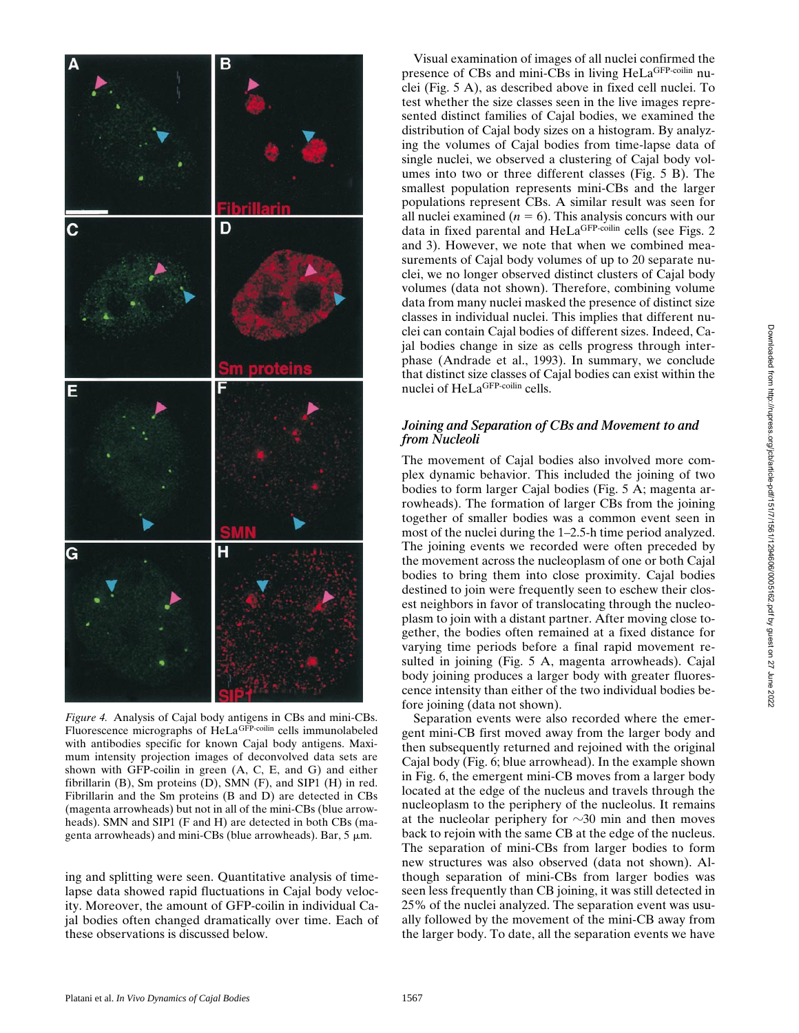

*Figure 4.* Analysis of Cajal body antigens in CBs and mini-CBs. Fluorescence micrographs of HeLa<sup>GFP-coilin</sup> cells immunolabeled with antibodies specific for known Cajal body antigens. Maximum intensity projection images of deconvolved data sets are shown with GFP-coilin in green (A, C, E, and G) and either fibrillarin (B), Sm proteins (D), SMN (F), and SIP1 (H) in red. Fibrillarin and the Sm proteins (B and D) are detected in CBs (magenta arrowheads) but not in all of the mini-CBs (blue arrowheads). SMN and SIP1 (F and H) are detected in both CBs (magenta arrowheads) and mini-CBs (blue arrowheads). Bar,  $5 \mu m$ .

ing and splitting were seen. Quantitative analysis of timelapse data showed rapid fluctuations in Cajal body velocity. Moreover, the amount of GFP-coilin in individual Cajal bodies often changed dramatically over time. Each of these observations is discussed below.

Visual examination of images of all nuclei confirmed the presence of CBs and mini-CBs in living HeLa<sup>GFP-coilin</sup> nuclei (Fig. 5 A), as described above in fixed cell nuclei. To test whether the size classes seen in the live images represented distinct families of Cajal bodies, we examined the distribution of Cajal body sizes on a histogram. By analyzing the volumes of Cajal bodies from time-lapse data of single nuclei, we observed a clustering of Cajal body volumes into two or three different classes (Fig. 5 B). The smallest population represents mini-CBs and the larger populations represent CBs. A similar result was seen for all nuclei examined  $(n = 6)$ . This analysis concurs with our data in fixed parental and HeLa<sup>GFP-coilin</sup> cells (see Figs. 2 and 3). However, we note that when we combined measurements of Cajal body volumes of up to 20 separate nuclei, we no longer observed distinct clusters of Cajal body volumes (data not shown). Therefore, combining volume data from many nuclei masked the presence of distinct size classes in individual nuclei. This implies that different nuclei can contain Cajal bodies of different sizes. Indeed, Cajal bodies change in size as cells progress through interphase (Andrade et al., 1993). In summary, we conclude that distinct size classes of Cajal bodies can exist within the nuclei of HeLa<sup>GFP-coilin</sup> cells.

## *Joining and Separation of CBs and Movement to and from Nucleoli*

The movement of Cajal bodies also involved more complex dynamic behavior. This included the joining of two bodies to form larger Cajal bodies (Fig. 5 A; magenta arrowheads). The formation of larger CBs from the joining together of smaller bodies was a common event seen in most of the nuclei during the 1–2.5-h time period analyzed. The joining events we recorded were often preceded by the movement across the nucleoplasm of one or both Cajal bodies to bring them into close proximity. Cajal bodies destined to join were frequently seen to eschew their closest neighbors in favor of translocating through the nucleoplasm to join with a distant partner. After moving close together, the bodies often remained at a fixed distance for varying time periods before a final rapid movement resulted in joining (Fig. 5 A, magenta arrowheads). Cajal body joining produces a larger body with greater fluorescence intensity than either of the two individual bodies before joining (data not shown).

Separation events were also recorded where the emergent mini-CB first moved away from the larger body and then subsequently returned and rejoined with the original Cajal body (Fig. 6; blue arrowhead). In the example shown in Fig. 6, the emergent mini-CB moves from a larger body located at the edge of the nucleus and travels through the nucleoplasm to the periphery of the nucleolus. It remains at the nucleolar periphery for  $\sim$ 30 min and then moves back to rejoin with the same CB at the edge of the nucleus. The separation of mini-CBs from larger bodies to form new structures was also observed (data not shown). Although separation of mini-CBs from larger bodies was seen less frequently than CB joining, it was still detected in 25% of the nuclei analyzed. The separation event was usually followed by the movement of the mini-CB away from the larger body. To date, all the separation events we have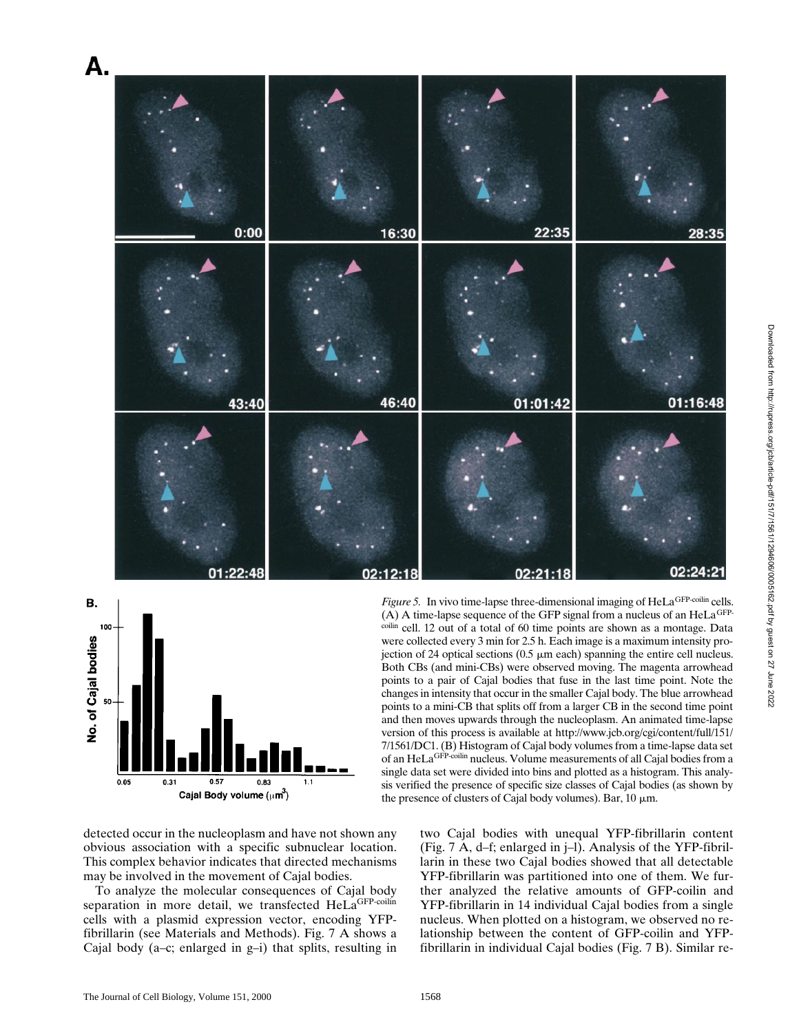



(A) A time-lapse sequence of the GFP signal from a nucleus of an HeLaGFPcollin cell. 12 out of a total of 60 time points are shown as a montage. Data were collected every 3 min for 2.5 h. Each image is a maximum intensity projection of 24 optical sections  $(0.5 \mu m \text{ each})$  spanning the entire cell nucleus. Both CBs (and mini-CBs) were observed moving. The magenta arrowhead points to a pair of Cajal bodies that fuse in the last time point. Note the changes in intensity that occur in the smaller Cajal body. The blue arrowhead points to a mini-CB that splits off from a larger CB in the second time point and then moves upwards through the nucleoplasm. An animated time-lapse version of this process is available at http://www.jcb.org/cgi/content/full/151/ 7/1561/DC1. (B) Histogram of Cajal body volumes from a time-lapse data set of an HeLaGFP-coilin nucleus. Volume measurements of all Cajal bodies from a single data set were divided into bins and plotted as a histogram. This analysis verified the presence of specific size classes of Cajal bodies (as shown by the presence of clusters of Cajal body volumes). Bar,  $10 \mu m$ .

detected occur in the nucleoplasm and have not shown any obvious association with a specific subnuclear location. This complex behavior indicates that directed mechanisms may be involved in the movement of Cajal bodies.

To analyze the molecular consequences of Cajal body separation in more detail, we transfected HeLaGFP-coilin cells with a plasmid expression vector, encoding YFPfibrillarin (see Materials and Methods). Fig. 7 A shows a Cajal body (a–c; enlarged in g–i) that splits, resulting in two Cajal bodies with unequal YFP-fibrillarin content (Fig. 7 A, d–f; enlarged in j–l). Analysis of the YFP-fibrillarin in these two Cajal bodies showed that all detectable YFP-fibrillarin was partitioned into one of them. We further analyzed the relative amounts of GFP-coilin and YFP-fibrillarin in 14 individual Cajal bodies from a single nucleus. When plotted on a histogram, we observed no relationship between the content of GFP-coilin and YFPfibrillarin in individual Cajal bodies (Fig. 7 B). Similar re-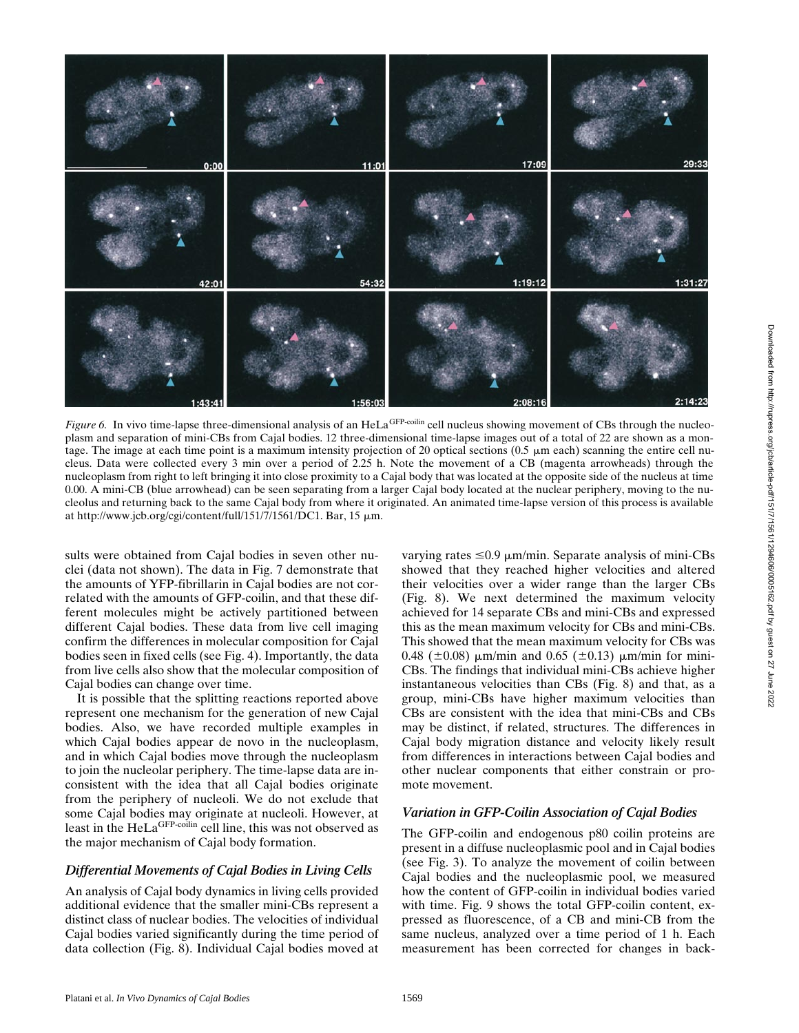

*Figure 6.* In vivo time-lapse three-dimensional analysis of an HeLa<sup>GFP-coilin</sup> cell nucleus showing movement of CBs through the nucleoplasm and separation of mini-CBs from Cajal bodies. 12 three-dimensional time-lapse images out of a total of 22 are shown as a montage. The image at each time point is a maximum intensity projection of 20 optical sections  $(0.5 \mu m \text{ each})$  scanning the entire cell nucleus. Data were collected every 3 min over a period of 2.25 h. Note the movement of a CB (magenta arrowheads) through the nucleoplasm from right to left bringing it into close proximity to a Cajal body that was located at the opposite side of the nucleus at time 0.00. A mini-CB (blue arrowhead) can be seen separating from a larger Cajal body located at the nuclear periphery, moving to the nucleolus and returning back to the same Cajal body from where it originated. An animated time-lapse version of this process is available at http://www.jcb.org/cgi/content/full/151/7/1561/DC1. Bar, 15 μm.

sults were obtained from Cajal bodies in seven other nuclei (data not shown). The data in Fig. 7 demonstrate that the amounts of YFP-fibrillarin in Cajal bodies are not correlated with the amounts of GFP-coilin, and that these different molecules might be actively partitioned between different Cajal bodies. These data from live cell imaging confirm the differences in molecular composition for Cajal bodies seen in fixed cells (see Fig. 4). Importantly, the data from live cells also show that the molecular composition of Cajal bodies can change over time.

It is possible that the splitting reactions reported above represent one mechanism for the generation of new Cajal bodies. Also, we have recorded multiple examples in which Cajal bodies appear de novo in the nucleoplasm, and in which Cajal bodies move through the nucleoplasm to join the nucleolar periphery. The time-lapse data are inconsistent with the idea that all Cajal bodies originate from the periphery of nucleoli. We do not exclude that some Cajal bodies may originate at nucleoli. However, at least in the HeLaGFP-coilin cell line, this was not observed as the major mechanism of Cajal body formation.

#### *Differential Movements of Cajal Bodies in Living Cells*

An analysis of Cajal body dynamics in living cells provided additional evidence that the smaller mini-CBs represent a distinct class of nuclear bodies. The velocities of individual Cajal bodies varied significantly during the time period of data collection (Fig. 8). Individual Cajal bodies moved at varying rates  $\leq 0.9$   $\mu$ m/min. Separate analysis of mini-CBs showed that they reached higher velocities and altered their velocities over a wider range than the larger CBs (Fig. 8). We next determined the maximum velocity achieved for 14 separate CBs and mini-CBs and expressed this as the mean maximum velocity for CBs and mini-CBs. This showed that the mean maximum velocity for CBs was 0.48 ( $\pm$ 0.08)  $\mu$ m/min and 0.65 ( $\pm$ 0.13)  $\mu$ m/min for mini-CBs. The findings that individual mini-CBs achieve higher instantaneous velocities than CBs (Fig. 8) and that, as a group, mini-CBs have higher maximum velocities than CBs are consistent with the idea that mini-CBs and CBs may be distinct, if related, structures. The differences in Cajal body migration distance and velocity likely result from differences in interactions between Cajal bodies and other nuclear components that either constrain or promote movement.

#### *Variation in GFP-Coilin Association of Cajal Bodies*

The GFP-coilin and endogenous p80 coilin proteins are present in a diffuse nucleoplasmic pool and in Cajal bodies (see Fig. 3). To analyze the movement of coilin between Cajal bodies and the nucleoplasmic pool, we measured how the content of GFP-coilin in individual bodies varied with time. Fig. 9 shows the total GFP-coilin content, expressed as fluorescence, of a CB and mini-CB from the same nucleus, analyzed over a time period of 1 h. Each measurement has been corrected for changes in back-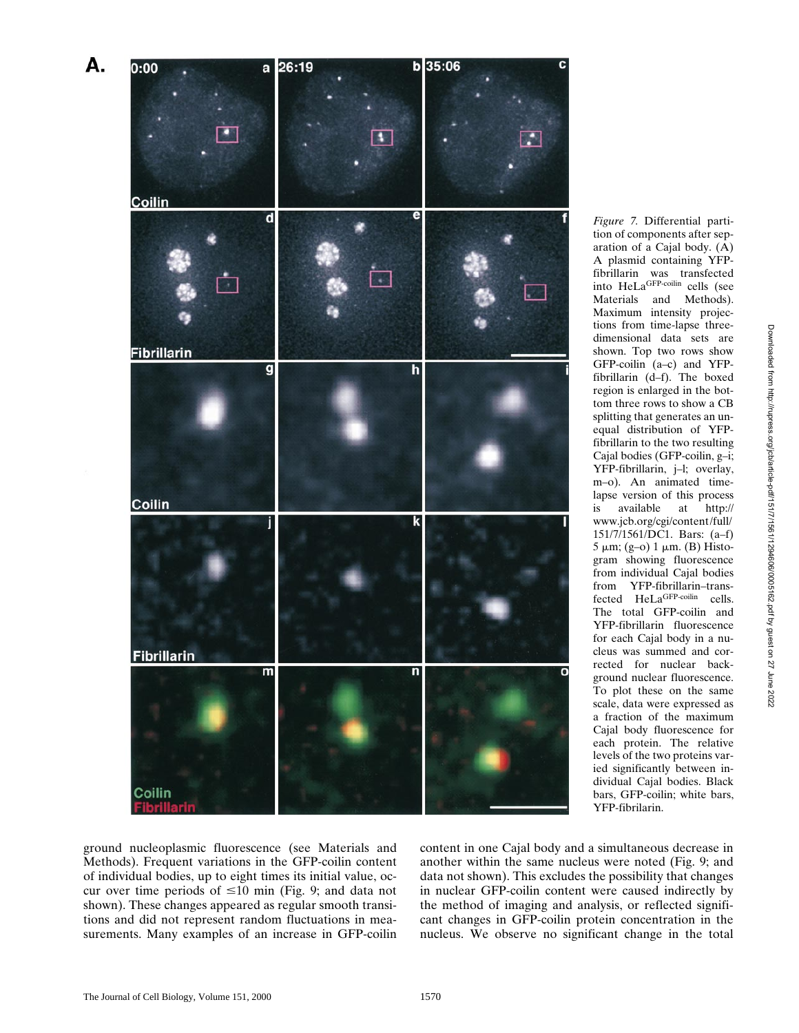

*Figure 7.* Differential partition of components after separation of a Cajal body. (A) A plasmid containing YFPfibrillarin was transfected into HeLaGFP-coilin cells (see Materials and Methods). Maximum intensity projections from time-lapse threedimensional data sets are shown. Top two rows show GFP-coilin (a–c) and YFPfibrillarin (d–f). The boxed region is enlarged in the bottom three rows to show a CB splitting that generates an unequal distribution of YFPfibrillarin to the two resulting Cajal bodies (GFP-coilin, g–i; YFP-fibrillarin, j–l; overlay, m–o). An animated timelapse version of this process is available at http:// www.jcb.org/cgi/content/full/ 151/7/1561/DC1. Bars: (a–f)  $5 \mu m$ ; (g-o) 1  $\mu m$ . (B) Histogram showing fluorescence from individual Cajal bodies from YFP-fibrillarin–transfected HeLa<sup>GFP-coilin</sup> cells. The total GFP-coilin and YFP-fibrillarin fluorescence for each Cajal body in a nucleus was summed and corrected for nuclear background nuclear fluorescence. To plot these on the same scale, data were expressed as a fraction of the maximum Cajal body fluorescence for each protein. The relative levels of the two proteins varied significantly between individual Cajal bodies. Black bars, GFP-coilin; white bars, YFP-fibrilarin.

ground nucleoplasmic fluorescence (see Materials and Methods). Frequent variations in the GFP-coilin content of individual bodies, up to eight times its initial value, occur over time periods of  $\leq 10$  min (Fig. 9; and data not shown). These changes appeared as regular smooth transitions and did not represent random fluctuations in measurements. Many examples of an increase in GFP-coilin

content in one Cajal body and a simultaneous decrease in another within the same nucleus were noted (Fig. 9; and data not shown). This excludes the possibility that changes in nuclear GFP-coilin content were caused indirectly by the method of imaging and analysis, or reflected significant changes in GFP-coilin protein concentration in the nucleus. We observe no significant change in the total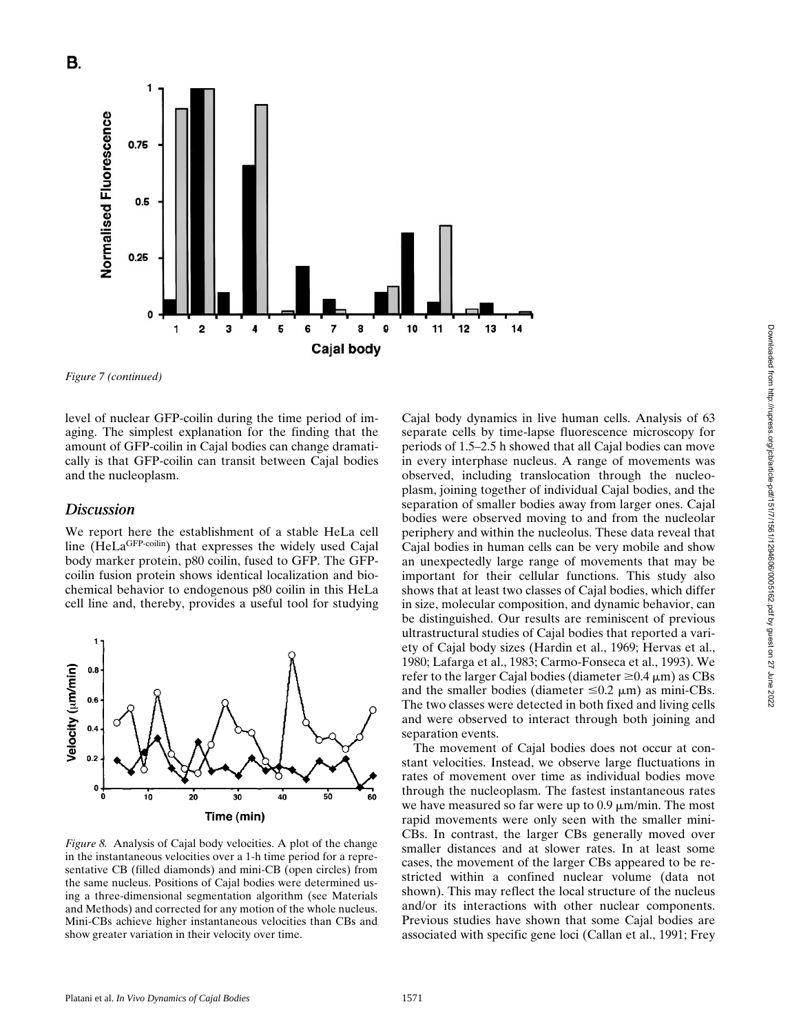

*Figure 7 (continued)*

level of nuclear GFP-coilin during the time period of imaging. The simplest explanation for the finding that the amount of GFP-coilin in Cajal bodies can change dramatically is that GFP-coilin can transit between Cajal bodies and the nucleoplasm.

#### *Discussion*

We report here the establishment of a stable HeLa cell line (HeLaGFP-coilin) that expresses the widely used Cajal body marker protein, p80 coilin, fused to GFP. The GFPcoilin fusion protein shows identical localization and biochemical behavior to endogenous p80 coilin in this HeLa cell line and, thereby, provides a useful tool for studying



*Figure 8.* Analysis of Cajal body velocities. A plot of the change in the instantaneous velocities over a 1-h time period for a representative CB (filled diamonds) and mini-CB (open circles) from the same nucleus. Positions of Cajal bodies were determined using a three-dimensional segmentation algorithm (see Materials and Methods) and corrected for any motion of the whole nucleus. Mini-CBs achieve higher instantaneous velocities than CBs and show greater variation in their velocity over time.

Cajal body dynamics in live human cells. Analysis of 63 separate cells by time-lapse fluorescence microscopy for periods of 1.5–2.5 h showed that all Cajal bodies can move in every interphase nucleus. A range of movements was observed, including translocation through the nucleoplasm, joining together of individual Cajal bodies, and the separation of smaller bodies away from larger ones. Cajal bodies were observed moving to and from the nucleolar periphery and within the nucleolus. These data reveal that Cajal bodies in human cells can be very mobile and show an unexpectedly large range of movements that may be important for their cellular functions. This study also shows that at least two classes of Cajal bodies, which differ in size, molecular composition, and dynamic behavior, can be distinguished. Our results are reminiscent of previous ultrastructural studies of Cajal bodies that reported a variety of Cajal body sizes (Hardin et al., 1969; Hervas et al., 1980; Lafarga et al., 1983; Carmo-Fonseca et al., 1993). We refer to the larger Cajal bodies (diameter  $\geq 0.4 \mu m$ ) as CBs and the smaller bodies (diameter  $\leq 0.2 \mu m$ ) as mini-CBs. The two classes were detected in both fixed and living cells and were observed to interact through both joining and separation events.

The movement of Cajal bodies does not occur at constant velocities. Instead, we observe large fluctuations in rates of movement over time as individual bodies move through the nucleoplasm. The fastest instantaneous rates we have measured so far were up to  $0.9 \mu m/min$ . The most rapid movements were only seen with the smaller mini-CBs. In contrast, the larger CBs generally moved over smaller distances and at slower rates. In at least some cases, the movement of the larger CBs appeared to be restricted within a confined nuclear volume (data not shown). This may reflect the local structure of the nucleus and/or its interactions with other nuclear components. Previous studies have shown that some Cajal bodies are associated with specific gene loci (Callan et al., 1991; Frey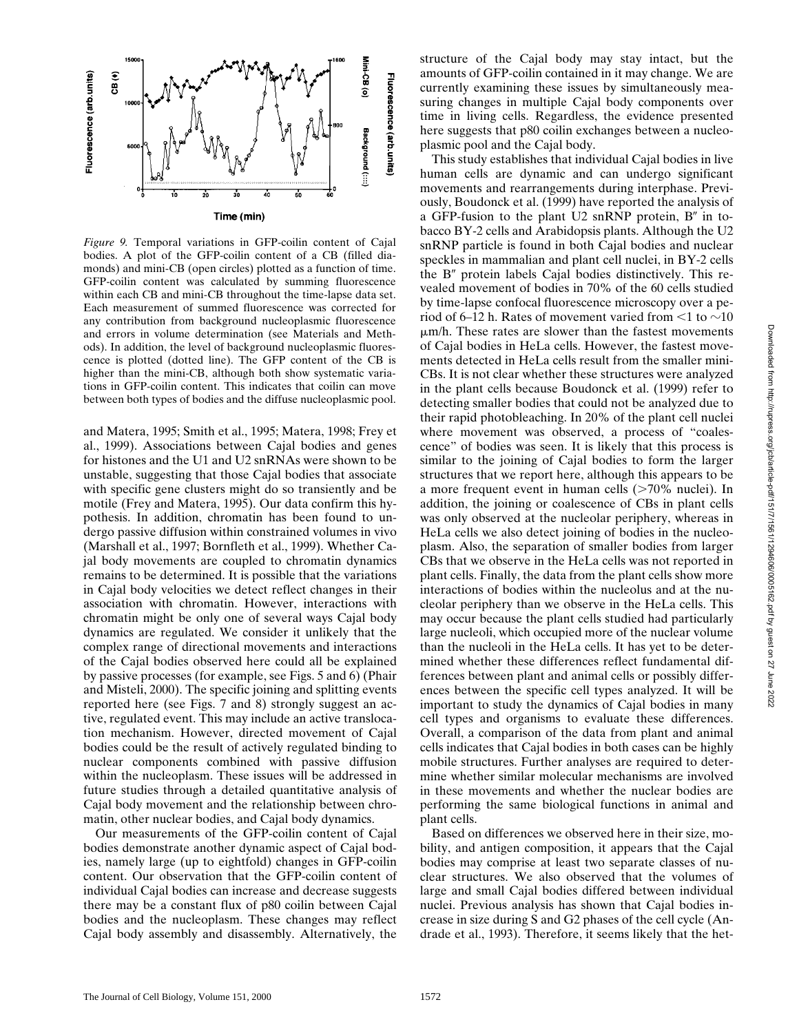

*Figure 9.* Temporal variations in GFP-coilin content of Cajal bodies. A plot of the GFP-coilin content of a CB (filled diamonds) and mini-CB (open circles) plotted as a function of time. GFP-coilin content was calculated by summing fluorescence within each CB and mini-CB throughout the time-lapse data set. Each measurement of summed fluorescence was corrected for any contribution from background nucleoplasmic fluorescence and errors in volume determination (see Materials and Methods). In addition, the level of background nucleoplasmic fluorescence is plotted (dotted line). The GFP content of the CB is higher than the mini-CB, although both show systematic variations in GFP-coilin content. This indicates that coilin can move between both types of bodies and the diffuse nucleoplasmic pool.

and Matera, 1995; Smith et al., 1995; Matera, 1998; Frey et al., 1999). Associations between Cajal bodies and genes for histones and the U1 and U2 snRNAs were shown to be unstable, suggesting that those Cajal bodies that associate with specific gene clusters might do so transiently and be motile (Frey and Matera, 1995). Our data confirm this hypothesis. In addition, chromatin has been found to undergo passive diffusion within constrained volumes in vivo (Marshall et al., 1997; Bornfleth et al., 1999). Whether Cajal body movements are coupled to chromatin dynamics remains to be determined. It is possible that the variations in Cajal body velocities we detect reflect changes in their association with chromatin. However, interactions with chromatin might be only one of several ways Cajal body dynamics are regulated. We consider it unlikely that the complex range of directional movements and interactions of the Cajal bodies observed here could all be explained by passive processes (for example, see Figs. 5 and 6) (Phair and Misteli, 2000). The specific joining and splitting events reported here (see Figs. 7 and 8) strongly suggest an active, regulated event. This may include an active translocation mechanism. However, directed movement of Cajal bodies could be the result of actively regulated binding to nuclear components combined with passive diffusion within the nucleoplasm. These issues will be addressed in future studies through a detailed quantitative analysis of Cajal body movement and the relationship between chromatin, other nuclear bodies, and Cajal body dynamics.

Our measurements of the GFP-coilin content of Cajal bodies demonstrate another dynamic aspect of Cajal bodies, namely large (up to eightfold) changes in GFP-coilin content. Our observation that the GFP-coilin content of individual Cajal bodies can increase and decrease suggests there may be a constant flux of p80 coilin between Cajal bodies and the nucleoplasm. These changes may reflect Cajal body assembly and disassembly. Alternatively, the

structure of the Cajal body may stay intact, but the amounts of GFP-coilin contained in it may change. We are currently examining these issues by simultaneously measuring changes in multiple Cajal body components over time in living cells. Regardless, the evidence presented here suggests that p80 coilin exchanges between a nucleoplasmic pool and the Cajal body.

This study establishes that individual Cajal bodies in live human cells are dynamic and can undergo significant movements and rearrangements during interphase. Previously, Boudonck et al. (1999) have reported the analysis of a GFP-fusion to the plant  $U2$  snRNP protein,  $B''$  in tobacco BY-2 cells and Arabidopsis plants. Although the U2 snRNP particle is found in both Cajal bodies and nuclear speckles in mammalian and plant cell nuclei, in BY-2 cells the B" protein labels Cajal bodies distinctively. This revealed movement of bodies in 70% of the 60 cells studied by time-lapse confocal fluorescence microscopy over a period of 6–12 h. Rates of movement varied from  $\leq$ 1 to  $\sim$ 10  $\mu$ m/h. These rates are slower than the fastest movements of Cajal bodies in HeLa cells. However, the fastest movements detected in HeLa cells result from the smaller mini-CBs. It is not clear whether these structures were analyzed in the plant cells because Boudonck et al. (1999) refer to detecting smaller bodies that could not be analyzed due to their rapid photobleaching. In 20% of the plant cell nuclei where movement was observed, a process of "coalescence" of bodies was seen. It is likely that this process is similar to the joining of Cajal bodies to form the larger structures that we report here, although this appears to be a more frequent event in human cells  $(>\!\!70\%$  nuclei). In addition, the joining or coalescence of CBs in plant cells was only observed at the nucleolar periphery, whereas in HeLa cells we also detect joining of bodies in the nucleoplasm. Also, the separation of smaller bodies from larger CBs that we observe in the HeLa cells was not reported in plant cells. Finally, the data from the plant cells show more interactions of bodies within the nucleolus and at the nucleolar periphery than we observe in the HeLa cells. This may occur because the plant cells studied had particularly large nucleoli, which occupied more of the nuclear volume than the nucleoli in the HeLa cells. It has yet to be determined whether these differences reflect fundamental differences between plant and animal cells or possibly differences between the specific cell types analyzed. It will be important to study the dynamics of Cajal bodies in many cell types and organisms to evaluate these differences. Overall, a comparison of the data from plant and animal cells indicates that Cajal bodies in both cases can be highly mobile structures. Further analyses are required to determine whether similar molecular mechanisms are involved in these movements and whether the nuclear bodies are performing the same biological functions in animal and plant cells.

Based on differences we observed here in their size, mobility, and antigen composition, it appears that the Cajal bodies may comprise at least two separate classes of nuclear structures. We also observed that the volumes of large and small Cajal bodies differed between individual nuclei. Previous analysis has shown that Cajal bodies increase in size during S and G2 phases of the cell cycle (Andrade et al., 1993). Therefore, it seems likely that the het-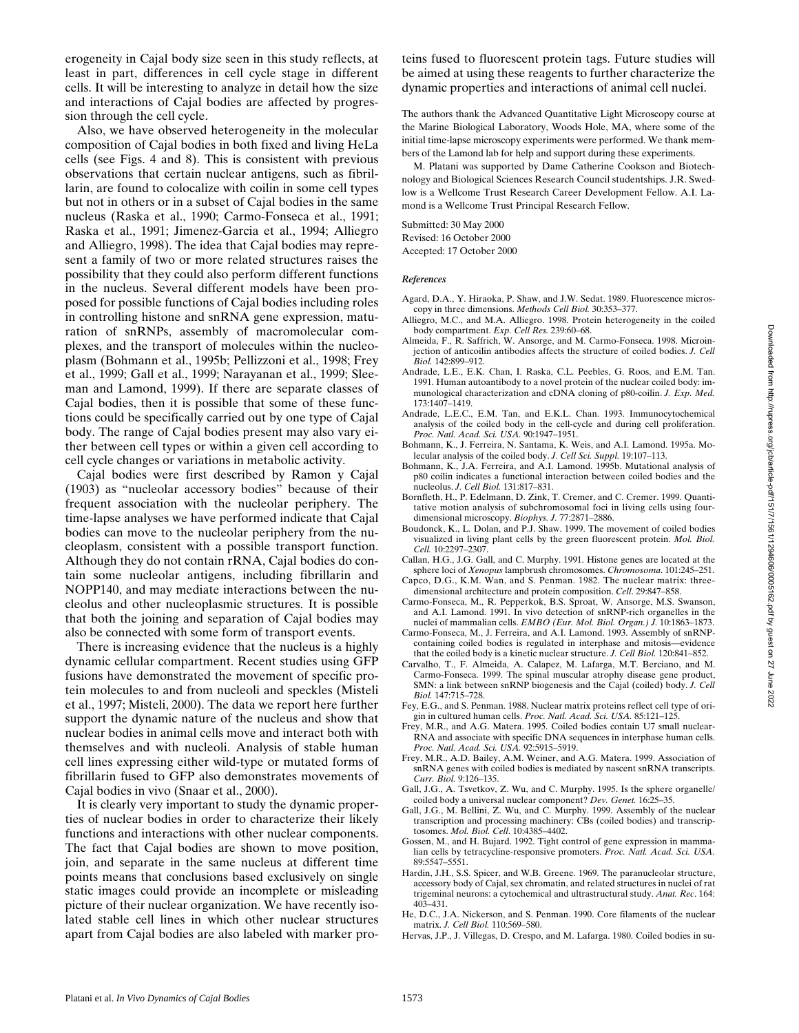erogeneity in Cajal body size seen in this study reflects, at least in part, differences in cell cycle stage in different cells. It will be interesting to analyze in detail how the size and interactions of Cajal bodies are affected by progression through the cell cycle.

Also, we have observed heterogeneity in the molecular composition of Cajal bodies in both fixed and living HeLa cells (see Figs. 4 and 8). This is consistent with previous observations that certain nuclear antigens, such as fibrillarin, are found to colocalize with coilin in some cell types but not in others or in a subset of Cajal bodies in the same nucleus (Raska et al., 1990; Carmo-Fonseca et al., 1991; Raska et al., 1991; Jimenez-Garcia et al., 1994; Alliegro and Alliegro, 1998). The idea that Cajal bodies may represent a family of two or more related structures raises the possibility that they could also perform different functions in the nucleus. Several different models have been proposed for possible functions of Cajal bodies including roles in controlling histone and snRNA gene expression, maturation of snRNPs, assembly of macromolecular complexes, and the transport of molecules within the nucleoplasm (Bohmann et al., 1995b; Pellizzoni et al., 1998; Frey et al., 1999; Gall et al., 1999; Narayanan et al., 1999; Sleeman and Lamond, 1999). If there are separate classes of Cajal bodies, then it is possible that some of these functions could be specifically carried out by one type of Cajal body. The range of Cajal bodies present may also vary either between cell types or within a given cell according to cell cycle changes or variations in metabolic activity.

Cajal bodies were first described by Ramon y Cajal (1903) as "nucleolar accessory bodies" because of their frequent association with the nucleolar periphery. The time-lapse analyses we have performed indicate that Cajal bodies can move to the nucleolar periphery from the nucleoplasm, consistent with a possible transport function. Although they do not contain rRNA, Cajal bodies do contain some nucleolar antigens, including fibrillarin and NOPP140, and may mediate interactions between the nucleolus and other nucleoplasmic structures. It is possible that both the joining and separation of Cajal bodies may also be connected with some form of transport events.

There is increasing evidence that the nucleus is a highly dynamic cellular compartment. Recent studies using GFP fusions have demonstrated the movement of specific protein molecules to and from nucleoli and speckles (Misteli et al., 1997; Misteli, 2000). The data we report here further support the dynamic nature of the nucleus and show that nuclear bodies in animal cells move and interact both with themselves and with nucleoli. Analysis of stable human cell lines expressing either wild-type or mutated forms of fibrillarin fused to GFP also demonstrates movements of Cajal bodies in vivo (Snaar et al., 2000).

It is clearly very important to study the dynamic properties of nuclear bodies in order to characterize their likely functions and interactions with other nuclear components. The fact that Cajal bodies are shown to move position, join, and separate in the same nucleus at different time points means that conclusions based exclusively on single static images could provide an incomplete or misleading picture of their nuclear organization. We have recently isolated stable cell lines in which other nuclear structures apart from Cajal bodies are also labeled with marker proteins fused to fluorescent protein tags. Future studies will be aimed at using these reagents to further characterize the dynamic properties and interactions of animal cell nuclei.

The authors thank the Advanced Quantitative Light Microscopy course at the Marine Biological Laboratory, Woods Hole, MA, where some of the initial time-lapse microscopy experiments were performed. We thank members of the Lamond lab for help and support during these experiments.

M. Platani was supported by Dame Catherine Cookson and Biotechnology and Biological Sciences Research Council studentships. J.R. Swedlow is a Wellcome Trust Research Career Development Fellow. A.I. Lamond is a Wellcome Trust Principal Research Fellow.

Submitted: 30 May 2000 Revised: 16 October 2000 Accepted: 17 October 2000

#### *References*

- Agard, D.A., Y. Hiraoka, P. Shaw, and J.W. Sedat. 1989. Fluorescence microscopy in three dimensions. *Methods Cell Biol.* 30:353–377.
- Alliegro, M.C., and M.A. Alliegro. 1998. Protein heterogeneity in the coiled body compartment. *Exp. Cell Res.* 239:60–68.
- Almeida, F., R. Saffrich, W. Ansorge, and M. Carmo-Fonseca. 1998. Microinjection of anticoilin antibodies affects the structure of coiled bodies. *J. Cell Biol.* 142:899–912.
- Andrade, L.E., E.K. Chan, I. Raska, C.L. Peebles, G. Roos, and E.M. Tan. 1991. Human autoantibody to a novel protein of the nuclear coiled body: immunological characterization and cDNA cloning of p80-coilin. *J. Exp. Med.* 173:1407–1419.
- Andrade, L.E.C., E.M. Tan, and E.K.L. Chan. 1993. Immunocytochemical analysis of the coiled body in the cell-cycle and during cell proliferation. *Proc. Natl. Acad. Sci. USA.* 90:1947–1951.
- Bohmann, K., J. Ferreira, N. Santama, K. Weis, and A.I. Lamond. 1995a. Molecular analysis of the coiled body. *J. Cell Sci. Suppl.* 19:107–113.
- Bohmann, K., J.A. Ferreira, and A.I. Lamond. 1995b. Mutational analysis of p80 coilin indicates a functional interaction between coiled bodies and the nucleolus. *J. Cell Biol.* 131:817–831.
- Bornfleth, H., P. Edelmann, D. Zink, T. Cremer, and C. Cremer. 1999. Quantitative motion analysis of subchromosomal foci in living cells using fourdimensional microscopy. *Biophys. J.* 77:2871–2886.
- Boudonck, K., L. Dolan, and P.J. Shaw. 1999. The movement of coiled bodies visualized in living plant cells by the green fluorescent protein. *Mol. Biol. Cell.* 10:2297–2307.
- Callan, H.G., J.G. Gall, and C. Murphy. 1991. Histone genes are located at the sphere loci of *Xenopus* lampbrush chromosomes. *Chromosoma*. 101:245–251.
- Capco, D.G., K.M. Wan, and S. Penman. 1982. The nuclear matrix: threedimensional architecture and protein composition. *Cell*. 29:847–858.
- Carmo-Fonseca, M., R. Pepperkok, B.S. Sproat, W. Ansorge, M.S. Swanson, and A.I. Lamond. 1991. In vivo detection of snRNP-rich organelles in the nuclei of mammalian cells. *EMBO (Eur. Mol. Biol. Organ.) J.* 10:1863–1873.
- Carmo-Fonseca, M., J. Ferreira, and A.I. Lamond. 1993. Assembly of snRNPcontaining coiled bodies is regulated in interphase and mitosis—evidence that the coiled body is a kinetic nuclear structure. *J. Cell Biol.* 120:841–852.
- Carvalho, T., F. Almeida, A. Calapez, M. Lafarga, M.T. Berciano, and M. Carmo-Fonseca. 1999. The spinal muscular atrophy disease gene product, SMN: a link between snRNP biogenesis and the Cajal (coiled) body. *J. Cell Biol.* 147:715–728.
- Fey, E.G., and S. Penman. 1988. Nuclear matrix proteins reflect cell type of origin in cultured human cells. *Proc. Natl. Acad. Sci. USA.* 85:121–125.
- Frey, M.R., and A.G. Matera. 1995. Coiled bodies contain U7 small nuclear-RNA and associate with specific DNA sequences in interphase human cells. *Proc. Natl. Acad. Sci. USA.* 92:5915–5919.
- Frey, M.R., A.D. Bailey, A.M. Weiner, and A.G. Matera. 1999. Association of snRNA genes with coiled bodies is mediated by nascent snRNA transcripts. *Curr. Biol.* 9:126–135.
- Gall, J.G., A. Tsvetkov, Z. Wu, and C. Murphy. 1995. Is the sphere organelle/ coiled body a universal nuclear component? *Dev. Genet.* 16:25–35.
- Gall, J.G., M. Bellini, Z. Wu, and C. Murphy. 1999. Assembly of the nuclear transcription and processing machinery: CBs (coiled bodies) and transcriptosomes. *Mol. Biol. Cell*. 10:4385–4402.
- Gossen, M., and H. Bujard. 1992. Tight control of gene expression in mammalian cells by tetracycline-responsive promoters. *Proc. Natl. Acad. Sci. USA.* 89:5547–5551.
- Hardin, J.H., S.S. Spicer, and W.B. Greene. 1969. The paranucleolar structure, accessory body of Cajal, sex chromatin, and related structures in nuclei of rat trigeminal neurons: a cytochemical and ultrastructural study. *Anat. Rec*. 164: 403–431.
- He, D.C., J.A. Nickerson, and S. Penman. 1990. Core filaments of the nuclear matrix. *J. Cell Biol.* 110:569–580.
- Hervas, J.P., J. Villegas, D. Crespo, and M. Lafarga. 1980. Coiled bodies in su-